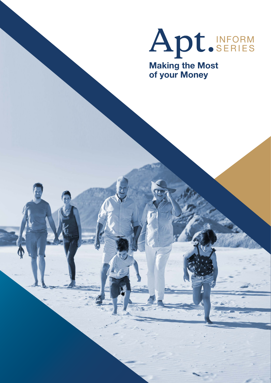

**Making the Most of your Money**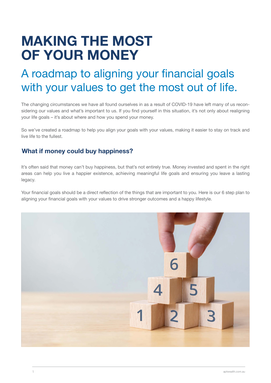# **MAKING THE MOST OF YOUR MONEY**

## A roadmap to aligning your financial goals with your values to get the most out of life.

The changing circumstances we have all found ourselves in as a result of COVID-19 have left many of us reconsidering our values and what's important to us. If you find yourself in this situation, it's not only about realigning your life goals – it's about where and how you spend your money.

So we've created a roadmap to help you align your goals with your values, making it easier to stay on track and live life to the fullest.

## **What if money could buy happiness?**

It's often said that money can't buy happiness, but that's not entirely true. Money invested and spent in the right areas can help you live a happier existence, achieving meaningful life goals and ensuring you leave a lasting legacy.

Your financial goals should be a direct reflection of the things that are important to you. Here is our 6 step plan to aligning your financial goals with your values to drive stronger outcomes and a happy lifestyle.

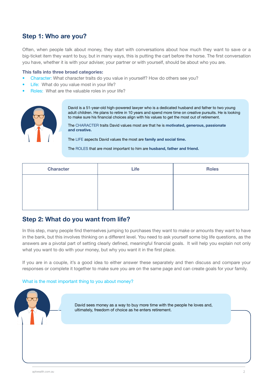## **Step 1: Who are you?**

Often, when people talk about money, they start with conversations about how much they want to save or a big-ticket item they want to buy, but in many ways, this is putting the cart before the horse. The first conversation you have, whether it is with your adviser, your partner or with yourself, should be about who you are.

#### **This falls into three broad categories:**

- Character: What character traits do you value in yourself? How do others see you?
- Life: What do you value most in your life?
- Roles: What are the valuable roles in your life?



David is a 51-year-old high-powered lawyer who is a dedicated husband and father to two young adult children. He plans to retire in 10 years and spend more time on creative pursuits. He is looking to make sure his financial choices align with his values to get the most out of retirement.

The CHARACTER traits David values most are that he is **motivated, generous, passionate and creative.** 

The LIFE aspects David values the most are **family and social time.**

The ROLES that are most important to him are **husband, father and friend.**

| <b>Character</b> | Life | <b>Roles</b> |
|------------------|------|--------------|
|                  |      |              |
|                  |      |              |
|                  |      |              |

### **Step 2: What do you want from life?**

In this step, many people find themselves jumping to purchases they want to make or amounts they want to have in the bank, but this involves thinking on a different level. You need to ask yourself some big life questions, as the answers are a pivotal part of setting clearly defined, meaningful financial goals. It will help you explain not only what you want to do with your money, but why you want it in the first place.

If you are in a couple, it's a good idea to either answer these separately and then discuss and compare your responses or complete it together to make sure you are on the same page and can create goals for your family.

#### What is the most important thing to you about money?

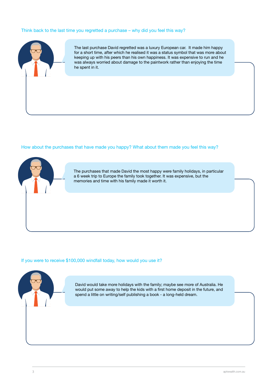#### Think back to the last time you regretted a purchase – why did you feel this way?



The last purchase David regretted was a luxury European car. It made him happy for a short time, after which he realised it was a status symbol that was more about keeping up with his peers than his own happiness. It was expensive to run and he was always worried about damage to the paintwork rather than enjoying the time he spent in it.

#### How about the purchases that have made you happy? What about them made you feel this way?



The purchases that made David the most happy were family holidays, in particular a 6 week trip to Europe the family took together. It was expensive, but the memories and time with his family made it worth it.

#### If you were to receive \$100,000 windfall today, how would you use it?



David would take more holidays with the family; maybe see more of Australia. He would put some away to help the kids with a first home deposit in the future, and spend a little on writing/self publishing a book - a long-held dream.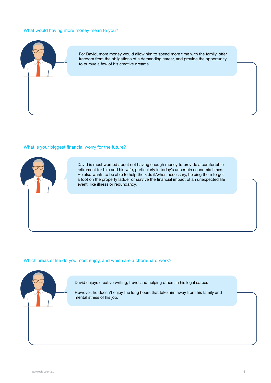#### What would having more money mean to you?



For David, more money would allow him to spend more time with the family, offer freedom from the obligations of a demanding career, and provide the opportunity to pursue a few of his creative dreams.

#### What is your biggest financial worry for the future?



David is most worried about not having enough money to provide a comfortable retirement for him and his wife, particularly in today's uncertain economic times. He also wants to be able to help the kids if/when necessary, helping them to get a foot on the property ladder or survive the financial impact of an unexpected life event, like illness or redundancy.

#### Which areas of life do you most enjoy, and which are a chore/hard work?



David enjoys creative writing, travel and helping others in his legal career.

However, he doesn't enjoy the long hours that take him away from his family and mental stress of his job.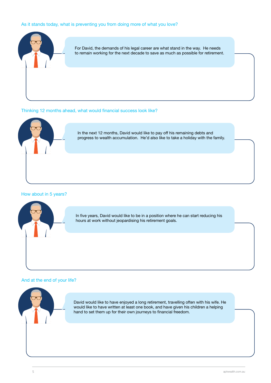#### As it stands today, what is preventing you from doing more of what you love?



#### Thinking 12 months ahead, what would financial success look like?



In the next 12 months, David would like to pay off his remaining debts and progress to wealth accumulation. He'd also like to take a holiday with the family.

#### How about in 5 years?



In five years, David would like to be in a position where he can start reducing his hours at work without jeopardising his retirement goals.

#### And at the end of your life?



David would like to have enjoyed a long retirement, travelling often with his wife. He would like to have written at least one book, and have given his children a helping hand to set them up for their own journeys to financial freedom.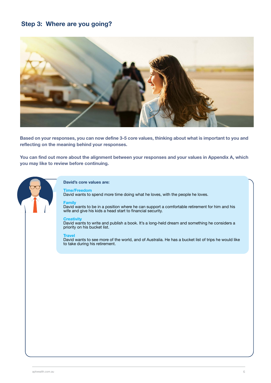## **Step 3: Where are you going?**



**Based on your responses, you can now define 3-5 core values, thinking about what is important to you and reflecting on the meaning behind your responses.**

**You can find out more about the alignment between your responses and your values in Appendix A, which you may like to review before continuing.** 



#### **David's core values are:**

**Time/Freedom** David wants to spend more time doing what he loves, with the people he loves.

#### **Family**

David wants to be in a position where he can support a comfortable retirement for him and his wife and give his kids a head start to financial security.

#### **Creativity**

David wants to write and publish a book. It's a long-held dream and something he considers a priority on his bucket list.

#### **Travel**

David wants to see more of the world, and of Australia. He has a bucket list of trips he would like to take during his retirement.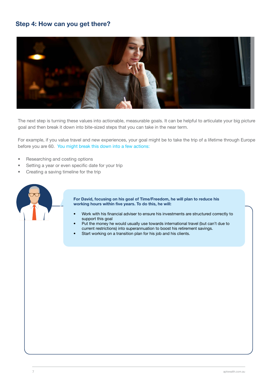## **Step 4: How can you get there?**



The next step is turning these values into actionable, measurable goals. It can be helpful to articulate your big picture goal and then break it down into bite-sized steps that you can take in the near term.

For example, if you value travel and new experiences, your goal might be to take the trip of a lifetime through Europe before you are 60. You might break this down into a few actions:

- Researching and costing options
- Setting a year or even specific date for your trip
- Creating a saving timeline for the trip



**For David, focusing on his goal of Time/Freedom, he will plan to reduce his working hours within five years. To do this, he will:** 

- Work with his financial adviser to ensure his investments are structured correctly to support this goal
- Put the money he would usually use towards international travel (but can't due to current restrictions) into superannuation to boost his retirement savings.
- Start working on a transition plan for his job and his clients.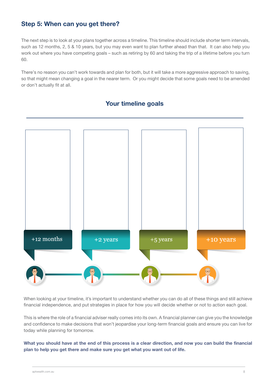## **Step 5: When can you get there?**

The next step is to look at your plans together across a timeline. This timeline should include shorter term intervals, such as 12 months, 2, 5 & 10 years, but you may even want to plan further ahead than that. It can also help you work out where you have competing goals – such as retiring by 60 and taking the trip of a lifetime before you turn 60.

There's no reason you can't work towards and plan for both, but it will take a more aggressive approach to saving, so that might mean changing a goal in the nearer term. Or you might decide that some goals need to be amended or don't actually fit at all.

## **Your timeline goals**



When looking at your timeline, it's important to understand whether you can do all of these things and still achieve financial independence, and put strategies in place for how you will decide whether or not to action each goal.

This is where the role of a financial adviser really comes into its own. A financial planner can give you the knowledge and confidence to make decisions that won't jeopardise your long-term financial goals and ensure you can live for today while planning for tomorrow.

**What you should have at the end of this process is a clear direction, and now you can build the financial plan to help you get there and make sure you get what you want out of life.**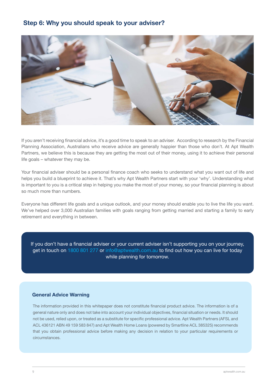## **Step 6: Why you should speak to your adviser?**



If you aren't receiving financial advice, it's a good time to speak to an adviser. According to research by the Financial Planning Association, Australians who receive advice are generally happier than those who don't. At Apt Wealth Partners, we believe this is because they are getting the most out of their money, using it to achieve their personal life goals – whatever they may be.

Your financial adviser should be a personal finance coach who seeks to understand what you want out of life and helps you build a blueprint to achieve it. That's why Apt Wealth Partners start with your 'why'. Understanding what is important to you is a critical step in helping you make the most of your money, so your financial planning is about so much more than numbers.

Everyone has different life goals and a unique outlook, and your money should enable you to live the life you want. We've helped over 3,000 Australian families with goals ranging from getting married and starting a family to early retirement and everything in between.

If you don't have a financial adviser or your current adviser isn't supporting you on your journey, get in touch on 1800 801 277 or info@aptwealth.com.au to find out how you can live for today while planning for tomorrow.

#### **General Advice Warning**

The information provided in this whitepaper does not constitute financial product advice. The information is of a general nature only and does not take into account your individual objectives, financial situation or needs. It should not be used, relied upon, or treated as a substitute for specific professional advice. Apt Wealth Partners (AFSL and ACL 436121 ABN 49 159 583 847) and Apt Wealth Home Loans (powered by Smartline ACL 385325) recommends that you obtain professional advice before making any decision in relation to your particular requirements or circumstances.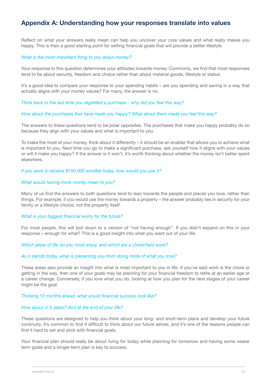## **Appendix A: Understanding how your responses translate into values**

Reflect on what your answers really mean can help you uncover your core values and what really makes you happy. This is then a good starting point for setting financial goals that will provide a better lifestyle.

#### *What is the most important thing to you about money?*

Your response to this question determines your attitudes towards money. Commonly, we find that most responses tend to be about security, freedom and choice rather than about material goods, lifestyle or status.

It's a good idea to compare your response to your spending habits – are you spending and saving in a way that actually aligns with your money values? For many, the answer is no.

*Think back to the last time you regretted a purchase – why did you feel this way?*

#### *How about the purchases that have made you happy? What about them made you feel this way?*

The answers to these questions tend to be polar opposites. The purchases that make you happy probably do so because they align with your values and what is important to you.

To make the most of your money, think about it differently – it should be an enabler that allows you to achieve what is important to you. Next time you go to make a significant purchase, ask yourself how it aligns with your values or will it make you happy? If the answer is it won't, it's worth thinking about whether the money isn't better spent elsewhere.

*If you were to receive \$100,000 windfall today, how would you use it?*

#### *What would having more money mean to you?*

Many of us find the answers to both questions tend to lean towards the people and places you love, rather than things. For example, if you would use the money towards a property – the answer probably lies in security for your family or a lifestyle choice, not the property itself.

#### *What is your biggest financial worry for the future?*

For most people, this will boil down to a version of "not having enough". If you didn't expand on this in your response – enough for what? This is a good insight into what you want out of your life.

#### *Which areas of life do you most enjoy, and which are a chore/hard work?*

#### *As it stands today, what is preventing you from doing more of what you love?*

These areas also provide an insight into what is most important to you in life. If you've said work is the chore or getting in the way, then one of your goals may be planning for your financial freedom to retire at an earlier age or a career change. Conversely, if you love what you do, looking at how you plan for the next stages of your career might be the goal.

#### *Thinking 12 months ahead, what would financial success look like?*

#### *How about in 5 years? And at the end of your life?*

These questions are designed to help you think about your long- and short-term plans and develop your future continuity. It's common to find it difficult to think about our future selves, and it's one of the reasons people can find it hard to set and stick with financial goals.

Your financial plan should really be about living for today while planning for tomorrow and having some nearer term goals and a longer-term plan is key to success.